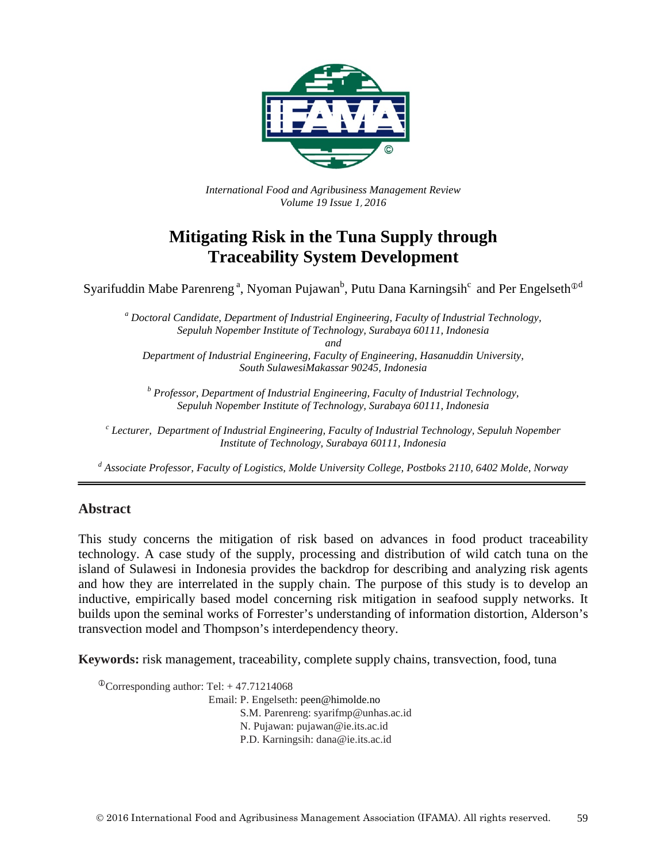

*International Food and Agribusiness Management Review Volume 19 Issue 1*, *2016*

# **Mitigating Risk in the Tuna Supply through Traceability System Development**

Syarifuddin Mabe Parenreng<sup>a</sup>, Nyoman Pujawan<sup>b</sup>, Putu Dana Karningsih $^{\rm c}$  and Per Engelseth $^{\odot {\rm d}}$ 

*<sup>a</sup> Doctoral Candidate, Department of Industrial Engineering, Faculty of Industrial Technology, Sepuluh Nopember Institute of Technology, Surabaya 60111, Indonesia and Department of Industrial Engineering, Faculty of Engineering, Hasanuddin University,* 

*South SulawesiMakassar 90245, Indonesia*

*<sup>b</sup> Professor, Department of Industrial Engineering, Faculty of Industrial Technology, Sepuluh Nopember Institute of Technology, Surabaya 60111, Indonesia*

*<sup>c</sup> Lecturer, Department of Industrial Engineering, Faculty of Industrial Technology, Sepuluh Nopember Institute of Technology, Surabaya 60111, Indonesia*

*<sup>d</sup> Associate Professor, Faculty of Logistics, Molde University College, Postboks 2110, 6402 Molde, Norway*

### **Abstract**

This study concerns the mitigation of risk based on advances in food product traceability technology. A case study of the supply, processing and distribution of wild catch tuna on the island of Sulawesi in Indonesia provides the backdrop for describing and analyzing risk agents and how they are interrelated in the supply chain. The purpose of this study is to develop an inductive, empirically based model concerning risk mitigation in seafood supply networks. It builds upon the seminal works of Forrester's understanding of information distortion, Alderson's transvection model and Thompson's interdependency theory.

**Keywords:** risk management, traceability, complete supply chains, transvection, food, tuna

 $\textcirc{Corresponding author: Tel:} + 47.71214068$ Email: P. Engelseth: peen@himolde.no S.M. Parenreng: syarifmp@unhas.ac.id N. Pujawan: pujawan@ie.its.ac.id P.D. Karningsih: dana@ie.its.ac.id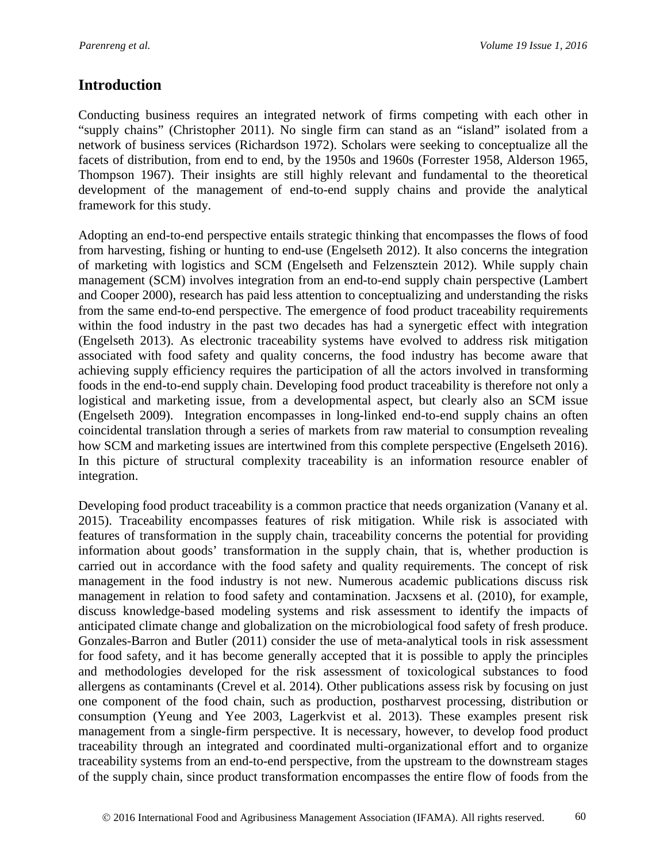## **Introduction**

Conducting business requires an integrated network of firms competing with each other in "supply chains" (Christopher 2011). No single firm can stand as an "island" isolated from a network of business services (Richardson 1972). Scholars were seeking to conceptualize all the facets of distribution, from end to end, by the 1950s and 1960s (Forrester 1958, Alderson 1965, Thompson 1967). Their insights are still highly relevant and fundamental to the theoretical development of the management of end-to-end supply chains and provide the analytical framework for this study.

Adopting an end-to-end perspective entails strategic thinking that encompasses the flows of food from harvesting, fishing or hunting to end-use (Engelseth 2012). It also concerns the integration of marketing with logistics and SCM (Engelseth and Felzensztein 2012). While supply chain management (SCM) involves integration from an end-to-end supply chain perspective (Lambert and Cooper 2000), research has paid less attention to conceptualizing and understanding the risks from the same end-to-end perspective. The emergence of food product traceability requirements within the food industry in the past two decades has had a synergetic effect with integration (Engelseth 2013). As electronic traceability systems have evolved to address risk mitigation associated with food safety and quality concerns, the food industry has become aware that achieving supply efficiency requires the participation of all the actors involved in transforming foods in the end-to-end supply chain. Developing food product traceability is therefore not only a logistical and marketing issue, from a developmental aspect, but clearly also an SCM issue (Engelseth 2009). Integration encompasses in long-linked end-to-end supply chains an often coincidental translation through a series of markets from raw material to consumption revealing how SCM and marketing issues are intertwined from this complete perspective (Engelseth 2016). In this picture of structural complexity traceability is an information resource enabler of integration.

Developing food product traceability is a common practice that needs organization (Vanany et al. 2015). Traceability encompasses features of risk mitigation. While risk is associated with features of transformation in the supply chain, traceability concerns the potential for providing information about goods' transformation in the supply chain, that is, whether production is carried out in accordance with the food safety and quality requirements. The concept of risk management in the food industry is not new. Numerous academic publications discuss risk management in relation to food safety and contamination. Jacxsens et al. (2010), for example, discuss knowledge-based modeling systems and risk assessment to identify the impacts of anticipated climate change and globalization on the microbiological food safety of fresh produce. Gonzales-Barron and Butler (2011) consider the use of meta-analytical tools in risk assessment for food safety, and it has become generally accepted that it is possible to apply the principles and methodologies developed for the risk assessment of toxicological substances to food allergens as contaminants (Crevel et al. 2014). Other publications assess risk by focusing on just one component of the food chain, such as production, postharvest processing, distribution or consumption (Yeung and Yee 2003, Lagerkvist et al. 2013). These examples present risk management from a single-firm perspective. It is necessary, however, to develop food product traceability through an integrated and coordinated multi-organizational effort and to organize traceability systems from an end-to-end perspective, from the upstream to the downstream stages of the supply chain, since product transformation encompasses the entire flow of foods from the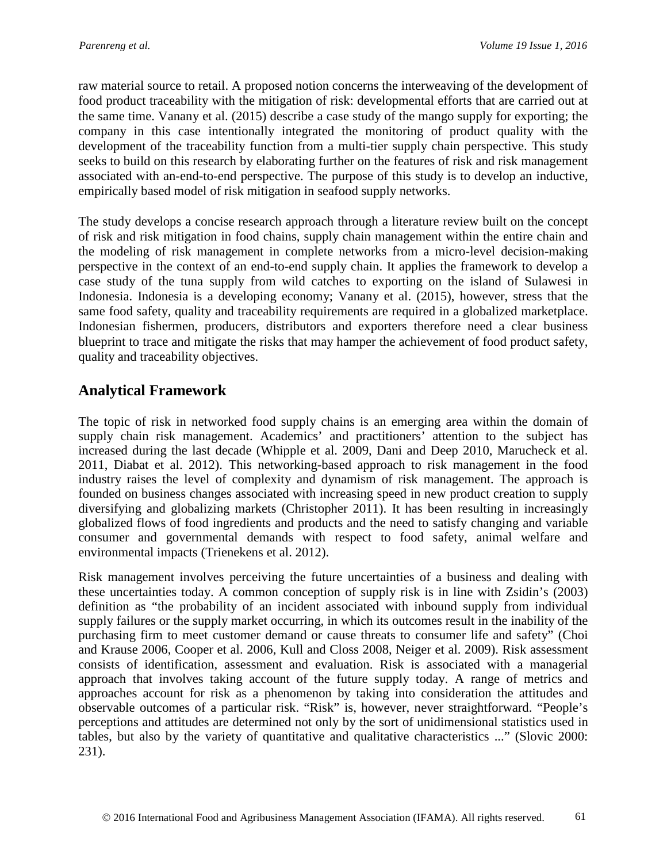raw material source to retail. A proposed notion concerns the interweaving of the development of food product traceability with the mitigation of risk: developmental efforts that are carried out at the same time. Vanany et al. (2015) describe a case study of the mango supply for exporting; the company in this case intentionally integrated the monitoring of product quality with the development of the traceability function from a multi-tier supply chain perspective. This study seeks to build on this research by elaborating further on the features of risk and risk management associated with an-end-to-end perspective. The purpose of this study is to develop an inductive, empirically based model of risk mitigation in seafood supply networks.

The study develops a concise research approach through a literature review built on the concept of risk and risk mitigation in food chains, supply chain management within the entire chain and the modeling of risk management in complete networks from a micro-level decision-making perspective in the context of an end-to-end supply chain. It applies the framework to develop a case study of the tuna supply from wild catches to exporting on the island of Sulawesi in Indonesia. Indonesia is a developing economy; Vanany et al. (2015), however, stress that the same food safety, quality and traceability requirements are required in a globalized marketplace. Indonesian fishermen, producers, distributors and exporters therefore need a clear business blueprint to trace and mitigate the risks that may hamper the achievement of food product safety, quality and traceability objectives.

# **Analytical Framework**

The topic of risk in networked food supply chains is an emerging area within the domain of supply chain risk management. Academics' and practitioners' attention to the subject has increased during the last decade (Whipple et al. 2009, Dani and Deep 2010, Marucheck et al. 2011, Diabat et al. 2012). This networking-based approach to risk management in the food industry raises the level of complexity and dynamism of risk management. The approach is founded on business changes associated with increasing speed in new product creation to supply diversifying and globalizing markets (Christopher 2011). It has been resulting in increasingly globalized flows of food ingredients and products and the need to satisfy changing and variable consumer and governmental demands with respect to food safety, animal welfare and environmental impacts (Trienekens et al. 2012).

Risk management involves perceiving the future uncertainties of a business and dealing with these uncertainties today. A common conception of supply risk is in line with Zsidin's (2003) definition as "the probability of an incident associated with inbound supply from individual supply failures or the supply market occurring, in which its outcomes result in the inability of the purchasing firm to meet customer demand or cause threats to consumer life and safety" (Choi and Krause 2006, Cooper et al. 2006, Kull and Closs 2008, Neiger et al. 2009). Risk assessment consists of identification, assessment and evaluation. Risk is associated with a managerial approach that involves taking account of the future supply today. A range of metrics and approaches account for risk as a phenomenon by taking into consideration the attitudes and observable outcomes of a particular risk. "Risk" is, however, never straightforward. "People's perceptions and attitudes are determined not only by the sort of unidimensional statistics used in tables, but also by the variety of quantitative and qualitative characteristics ..." (Slovic 2000: 231).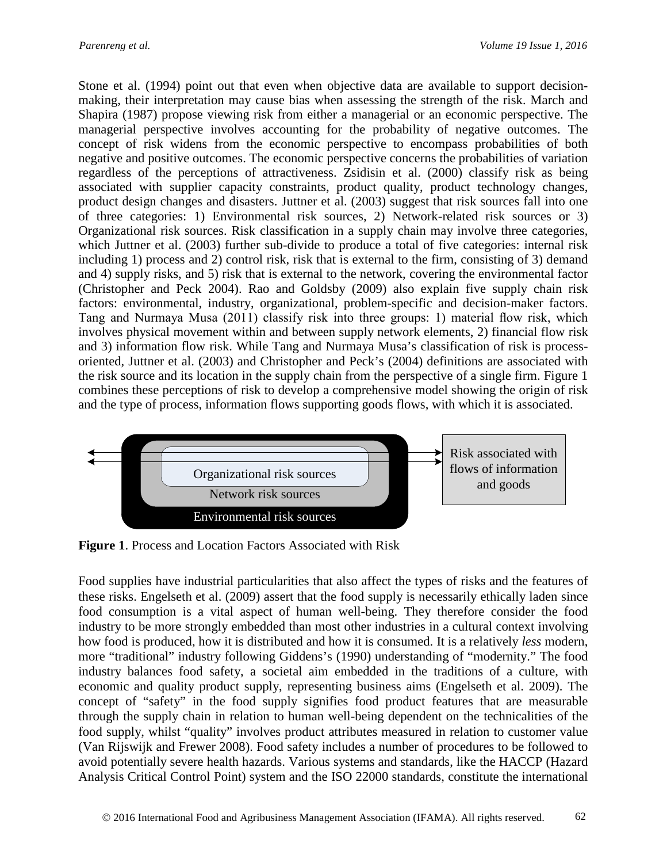Stone et al. (1994) point out that even when objective data are available to support decisionmaking, their interpretation may cause bias when assessing the strength of the risk. March and Shapira (1987) propose viewing risk from either a managerial or an economic perspective. The managerial perspective involves accounting for the probability of negative outcomes. The concept of risk widens from the economic perspective to encompass probabilities of both negative and positive outcomes. The economic perspective concerns the probabilities of variation regardless of the perceptions of attractiveness. Zsidisin et al. (2000) classify risk as being associated with supplier capacity constraints, product quality, product technology changes, product design changes and disasters. Juttner et al. (2003) suggest that risk sources fall into one of three categories: 1) Environmental risk sources, 2) Network-related risk sources or 3) Organizational risk sources. Risk classification in a supply chain may involve three categories, which Juttner et al. (2003) further sub-divide to produce a total of five categories: internal risk including 1) process and 2) control risk, risk that is external to the firm, consisting of 3) demand and 4) supply risks, and 5) risk that is external to the network, covering the environmental factor (Christopher and Peck 2004). Rao and Goldsby (2009) also explain five supply chain risk factors: environmental, industry, organizational, problem-specific and decision-maker factors. Tang and Nurmaya Musa (2011) classify risk into three groups: 1) material flow risk, which involves physical movement within and between supply network elements, 2) financial flow risk and 3) information flow risk. While Tang and Nurmaya Musa's classification of risk is processoriented, Juttner et al. (2003) and Christopher and Peck's (2004) definitions are associated with the risk source and its location in the supply chain from the perspective of a single firm. Figure 1 combines these perceptions of risk to develop a comprehensive model showing the origin of risk and the type of process, information flows supporting goods flows, with which it is associated.



**Figure 1**. Process and Location Factors Associated with Risk

Food supplies have industrial particularities that also affect the types of risks and the features of these risks. Engelseth et al. (2009) assert that the food supply is necessarily ethically laden since food consumption is a vital aspect of human well-being. They therefore consider the food industry to be more strongly embedded than most other industries in a cultural context involving how food is produced, how it is distributed and how it is consumed. It is a relatively *less* modern, more "traditional" industry following Giddens's (1990) understanding of "modernity." The food industry balances food safety, a societal aim embedded in the traditions of a culture, with economic and quality product supply, representing business aims (Engelseth et al. 2009). The concept of "safety" in the food supply signifies food product features that are measurable through the supply chain in relation to human well-being dependent on the technicalities of the food supply, whilst "quality" involves product attributes measured in relation to customer value (Van Rijswijk and Frewer 2008). Food safety includes a number of procedures to be followed to avoid potentially severe health hazards. Various systems and standards, like the HACCP (Hazard Analysis Critical Control Point) system and the ISO 22000 standards, constitute the international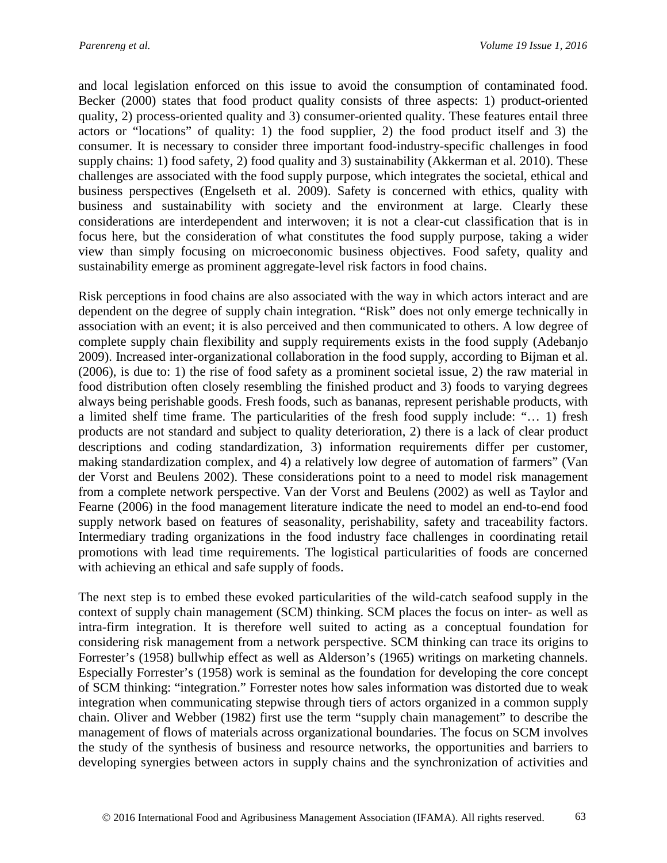and local legislation enforced on this issue to avoid the consumption of contaminated food. Becker (2000) states that food product quality consists of three aspects: 1) product-oriented quality, 2) process-oriented quality and 3) consumer-oriented quality. These features entail three actors or "locations" of quality: 1) the food supplier, 2) the food product itself and 3) the consumer. It is necessary to consider three important food-industry-specific challenges in food supply chains: 1) food safety, 2) food quality and 3) sustainability (Akkerman et al. 2010). These challenges are associated with the food supply purpose, which integrates the societal, ethical and business perspectives (Engelseth et al. 2009). Safety is concerned with ethics, quality with business and sustainability with society and the environment at large. Clearly these considerations are interdependent and interwoven; it is not a clear-cut classification that is in focus here, but the consideration of what constitutes the food supply purpose, taking a wider view than simply focusing on microeconomic business objectives. Food safety, quality and sustainability emerge as prominent aggregate-level risk factors in food chains.

Risk perceptions in food chains are also associated with the way in which actors interact and are dependent on the degree of supply chain integration. "Risk" does not only emerge technically in association with an event; it is also perceived and then communicated to others. A low degree of complete supply chain flexibility and supply requirements exists in the food supply (Adebanjo 2009). Increased inter-organizational collaboration in the food supply, according to Bijman et al. (2006), is due to: 1) the rise of food safety as a prominent societal issue, 2) the raw material in food distribution often closely resembling the finished product and 3) foods to varying degrees always being perishable goods. Fresh foods, such as bananas, represent perishable products, with a limited shelf time frame. The particularities of the fresh food supply include: "… 1) fresh products are not standard and subject to quality deterioration, 2) there is a lack of clear product descriptions and coding standardization, 3) information requirements differ per customer, making standardization complex, and 4) a relatively low degree of automation of farmers" (Van der Vorst and Beulens 2002). These considerations point to a need to model risk management from a complete network perspective. Van der Vorst and Beulens (2002) as well as Taylor and Fearne (2006) in the food management literature indicate the need to model an end-to-end food supply network based on features of seasonality, perishability, safety and traceability factors. Intermediary trading organizations in the food industry face challenges in coordinating retail promotions with lead time requirements. The logistical particularities of foods are concerned with achieving an ethical and safe supply of foods.

The next step is to embed these evoked particularities of the wild-catch seafood supply in the context of supply chain management (SCM) thinking. SCM places the focus on inter- as well as intra-firm integration. It is therefore well suited to acting as a conceptual foundation for considering risk management from a network perspective. SCM thinking can trace its origins to Forrester's (1958) bullwhip effect as well as Alderson's (1965) writings on marketing channels. Especially Forrester's (1958) work is seminal as the foundation for developing the core concept of SCM thinking: "integration." Forrester notes how sales information was distorted due to weak integration when communicating stepwise through tiers of actors organized in a common supply chain. Oliver and Webber (1982) first use the term "supply chain management" to describe the management of flows of materials across organizational boundaries. The focus on SCM involves the study of the synthesis of business and resource networks, the opportunities and barriers to developing synergies between actors in supply chains and the synchronization of activities and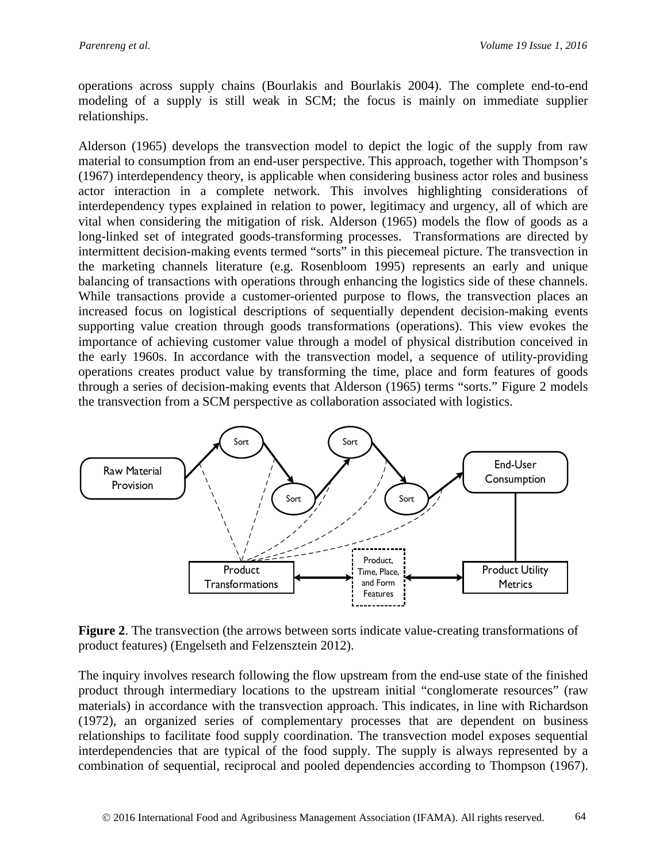operations across supply chains (Bourlakis and Bourlakis 2004). The complete end-to-end modeling of a supply is still weak in SCM; the focus is mainly on immediate supplier relationships.

Alderson (1965) develops the transvection model to depict the logic of the supply from raw material to consumption from an end-user perspective. This approach, together with Thompson's (1967) interdependency theory, is applicable when considering business actor roles and business actor interaction in a complete network. This involves highlighting considerations of interdependency types explained in relation to power, legitimacy and urgency, all of which are vital when considering the mitigation of risk. Alderson (1965) models the flow of goods as a long-linked set of integrated goods-transforming processes. Transformations are directed by intermittent decision-making events termed "sorts" in this piecemeal picture. The transvection in the marketing channels literature (e.g. Rosenbloom 1995) represents an early and unique balancing of transactions with operations through enhancing the logistics side of these channels. While transactions provide a customer-oriented purpose to flows, the transvection places an increased focus on logistical descriptions of sequentially dependent decision-making events supporting value creation through goods transformations (operations). This view evokes the importance of achieving customer value through a model of physical distribution conceived in the early 1960s. In accordance with the transvection model, a sequence of utility-providing operations creates product value by transforming the time, place and form features of goods through a series of decision-making events that Alderson (1965) terms "sorts." Figure 2 models the transvection from a SCM perspective as collaboration associated with logistics.



**Figure 2**. The transvection (the arrows between sorts indicate value-creating transformations of product features) (Engelseth and Felzensztein 2012).

The inquiry involves research following the flow upstream from the end-use state of the finished product through intermediary locations to the upstream initial "conglomerate resources" (raw materials) in accordance with the transvection approach. This indicates, in line with Richardson (1972), an organized series of complementary processes that are dependent on business relationships to facilitate food supply coordination. The transvection model exposes sequential interdependencies that are typical of the food supply. The supply is always represented by a combination of sequential, reciprocal and pooled dependencies according to Thompson (1967).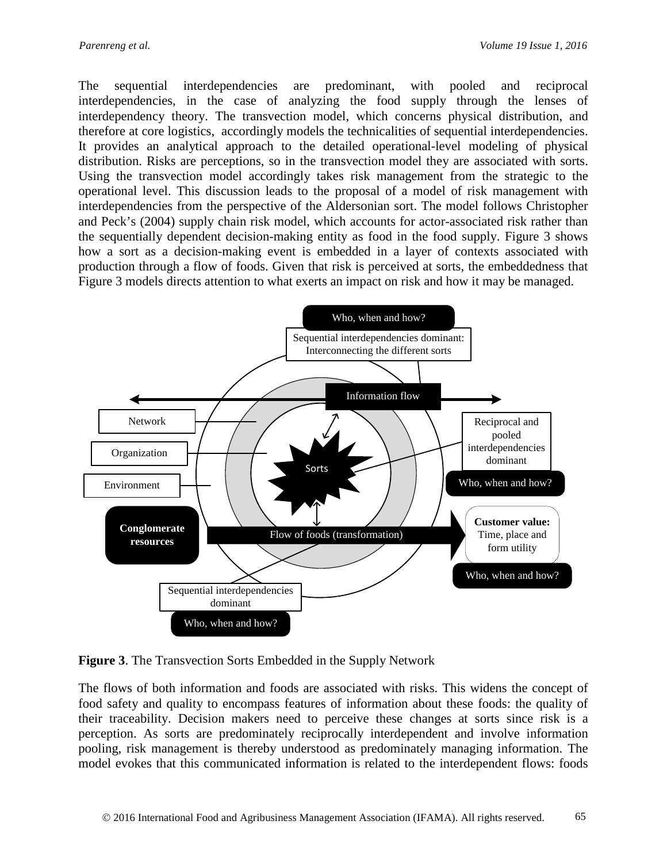The sequential interdependencies are predominant, with pooled and reciprocal interdependencies, in the case of analyzing the food supply through the lenses of interdependency theory. The transvection model, which concerns physical distribution, and therefore at core logistics, accordingly models the technicalities of sequential interdependencies. It provides an analytical approach to the detailed operational-level modeling of physical distribution. Risks are perceptions, so in the transvection model they are associated with sorts. Using the transvection model accordingly takes risk management from the strategic to the operational level. This discussion leads to the proposal of a model of risk management with interdependencies from the perspective of the Aldersonian sort. The model follows Christopher and Peck's (2004) supply chain risk model, which accounts for actor-associated risk rather than the sequentially dependent decision-making entity as food in the food supply. Figure 3 shows how a sort as a decision-making event is embedded in a layer of contexts associated with production through a flow of foods. Given that risk is perceived at sorts, the embeddedness that Figure 3 models directs attention to what exerts an impact on risk and how it may be managed.



**Figure 3**. The Transvection Sorts Embedded in the Supply Network

The flows of both information and foods are associated with risks. This widens the concept of food safety and quality to encompass features of information about these foods: the quality of their traceability. Decision makers need to perceive these changes at sorts since risk is a perception. As sorts are predominately reciprocally interdependent and involve information pooling, risk management is thereby understood as predominately managing information. The model evokes that this communicated information is related to the interdependent flows: foods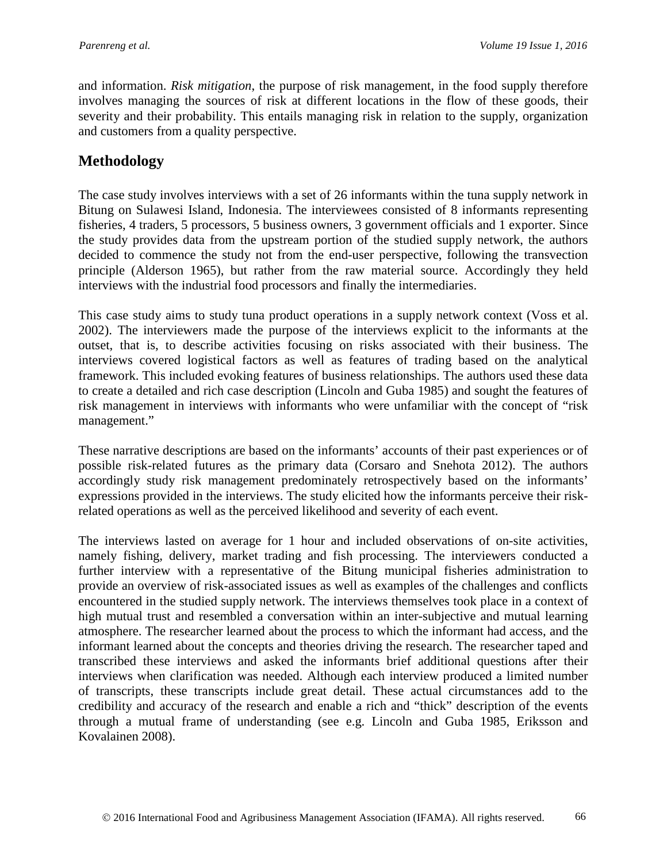and information. *Risk mitigation*, the purpose of risk management, in the food supply therefore involves managing the sources of risk at different locations in the flow of these goods, their severity and their probability. This entails managing risk in relation to the supply, organization and customers from a quality perspective.

## **Methodology**

The case study involves interviews with a set of 26 informants within the tuna supply network in Bitung on Sulawesi Island, Indonesia. The interviewees consisted of 8 informants representing fisheries, 4 traders, 5 processors, 5 business owners, 3 government officials and 1 exporter. Since the study provides data from the upstream portion of the studied supply network, the authors decided to commence the study not from the end-user perspective, following the transvection principle (Alderson 1965), but rather from the raw material source. Accordingly they held interviews with the industrial food processors and finally the intermediaries.

This case study aims to study tuna product operations in a supply network context (Voss et al. 2002). The interviewers made the purpose of the interviews explicit to the informants at the outset, that is, to describe activities focusing on risks associated with their business. The interviews covered logistical factors as well as features of trading based on the analytical framework. This included evoking features of business relationships. The authors used these data to create a detailed and rich case description (Lincoln and Guba 1985) and sought the features of risk management in interviews with informants who were unfamiliar with the concept of "risk management."

These narrative descriptions are based on the informants' accounts of their past experiences or of possible risk-related futures as the primary data (Corsaro and Snehota 2012). The authors accordingly study risk management predominately retrospectively based on the informants' expressions provided in the interviews. The study elicited how the informants perceive their riskrelated operations as well as the perceived likelihood and severity of each event.

The interviews lasted on average for 1 hour and included observations of on-site activities, namely fishing, delivery, market trading and fish processing. The interviewers conducted a further interview with a representative of the Bitung municipal fisheries administration to provide an overview of risk-associated issues as well as examples of the challenges and conflicts encountered in the studied supply network. The interviews themselves took place in a context of high mutual trust and resembled a conversation within an inter-subjective and mutual learning atmosphere. The researcher learned about the process to which the informant had access, and the informant learned about the concepts and theories driving the research. The researcher taped and transcribed these interviews and asked the informants brief additional questions after their interviews when clarification was needed. Although each interview produced a limited number of transcripts, these transcripts include great detail. These actual circumstances add to the credibility and accuracy of the research and enable a rich and "thick" description of the events through a mutual frame of understanding (see e.g. Lincoln and Guba 1985, Eriksson and Kovalainen 2008).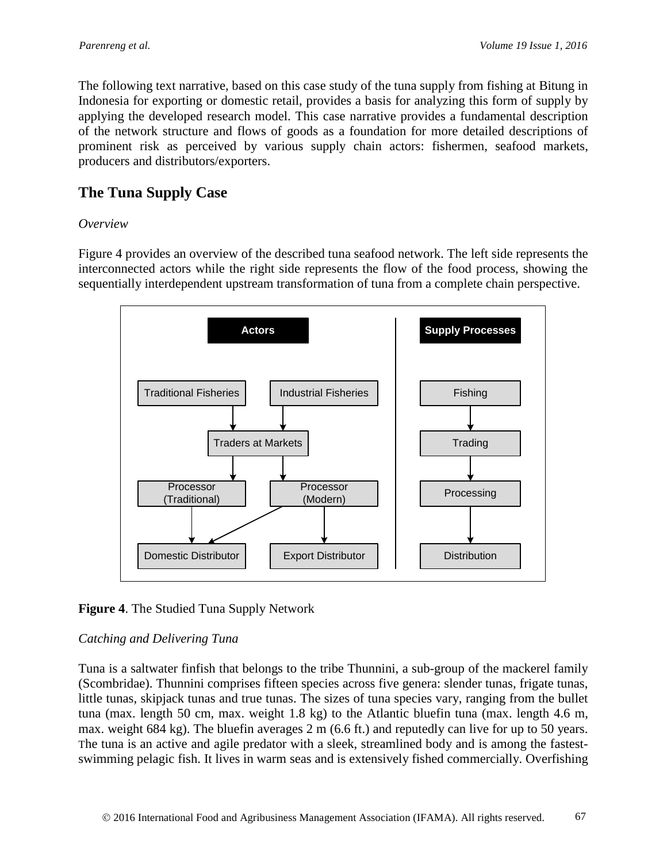The following text narrative, based on this case study of the tuna supply from fishing at Bitung in Indonesia for exporting or domestic retail, provides a basis for analyzing this form of supply by applying the developed research model. This case narrative provides a fundamental description of the network structure and flows of goods as a foundation for more detailed descriptions of prominent risk as perceived by various supply chain actors: fishermen, seafood markets, producers and distributors/exporters.

# **The Tuna Supply Case**

### *Overview*

Figure 4 provides an overview of the described tuna seafood network. The left side represents the interconnected actors while the right side represents the flow of the food process, showing the sequentially interdependent upstream transformation of tuna from a complete chain perspective.



**Figure 4**. The Studied Tuna Supply Network

## *Catching and Delivering Tuna*

Tuna is a saltwater finfish that belongs to the tribe Thunnini, a sub-group of the mackerel family (Scombridae). Thunnini comprises fifteen species across five genera: slender tunas, frigate tunas, little tunas, skipjack tunas and true tunas. The sizes of tuna species vary, ranging from the bullet tuna (max. length 50 cm, max. weight 1.8 kg) to the Atlantic bluefin tuna (max. length 4.6 m, max. weight 684 kg). The bluefin averages 2 m (6.6 ft.) and reputedly can live for up to 50 years. The tuna is an active and agile predator with a sleek, streamlined body and is among the fastestswimming pelagic fish. It lives in warm seas and is extensively fished commercially. Overfishing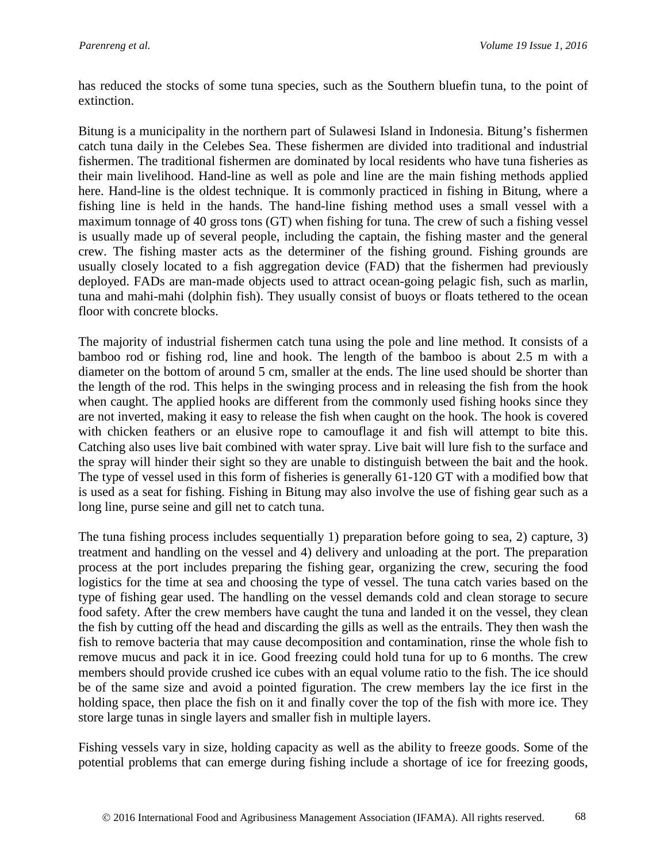has reduced the stocks of some tuna species, such as the Southern bluefin tuna, to the point of extinction.

Bitung is a municipality in the northern part of Sulawesi Island in Indonesia. Bitung's fishermen catch tuna daily in the Celebes Sea. These fishermen are divided into traditional and industrial fishermen. The traditional fishermen are dominated by local residents who have tuna fisheries as their main livelihood. Hand-line as well as pole and line are the main fishing methods applied here. Hand-line is the oldest technique. It is commonly practiced in fishing in Bitung, where a fishing line is held in the hands. The hand-line fishing method uses a small vessel with a maximum tonnage of 40 gross tons (GT) when fishing for tuna. The crew of such a fishing vessel is usually made up of several people, including the captain, the fishing master and the general crew. The fishing master acts as the determiner of the fishing ground. Fishing grounds are usually closely located to a fish aggregation device (FAD) that the fishermen had previously deployed. FADs are man-made objects used to attract ocean-going pelagic fish, such as marlin, tuna and mahi-mahi (dolphin fish). They usually consist of buoys or floats tethered to the ocean floor with concrete blocks.

The majority of industrial fishermen catch tuna using the pole and line method. It consists of a bamboo rod or fishing rod, line and hook. The length of the bamboo is about 2.5 m with a diameter on the bottom of around 5 cm, smaller at the ends. The line used should be shorter than the length of the rod. This helps in the swinging process and in releasing the fish from the hook when caught. The applied hooks are different from the commonly used fishing hooks since they are not inverted, making it easy to release the fish when caught on the hook. The hook is covered with chicken feathers or an elusive rope to camouflage it and fish will attempt to bite this. Catching also uses live bait combined with water spray. Live bait will lure fish to the surface and the spray will hinder their sight so they are unable to distinguish between the bait and the hook. The type of vessel used in this form of fisheries is generally 61-120 GT with a modified bow that is used as a seat for fishing. Fishing in Bitung may also involve the use of fishing gear such as a long line, purse seine and gill net to catch tuna.

The tuna fishing process includes sequentially 1) preparation before going to sea, 2) capture, 3) treatment and handling on the vessel and 4) delivery and unloading at the port. The preparation process at the port includes preparing the fishing gear, organizing the crew, securing the food logistics for the time at sea and choosing the type of vessel. The tuna catch varies based on the type of fishing gear used. The handling on the vessel demands cold and clean storage to secure food safety. After the crew members have caught the tuna and landed it on the vessel, they clean the fish by cutting off the head and discarding the gills as well as the entrails. They then wash the fish to remove bacteria that may cause decomposition and contamination, rinse the whole fish to remove mucus and pack it in ice. Good freezing could hold tuna for up to 6 months. The crew members should provide crushed ice cubes with an equal volume ratio to the fish. The ice should be of the same size and avoid a pointed figuration. The crew members lay the ice first in the holding space, then place the fish on it and finally cover the top of the fish with more ice. They store large tunas in single layers and smaller fish in multiple layers.

Fishing vessels vary in size, holding capacity as well as the ability to freeze goods. Some of the potential problems that can emerge during fishing include a shortage of ice for freezing goods,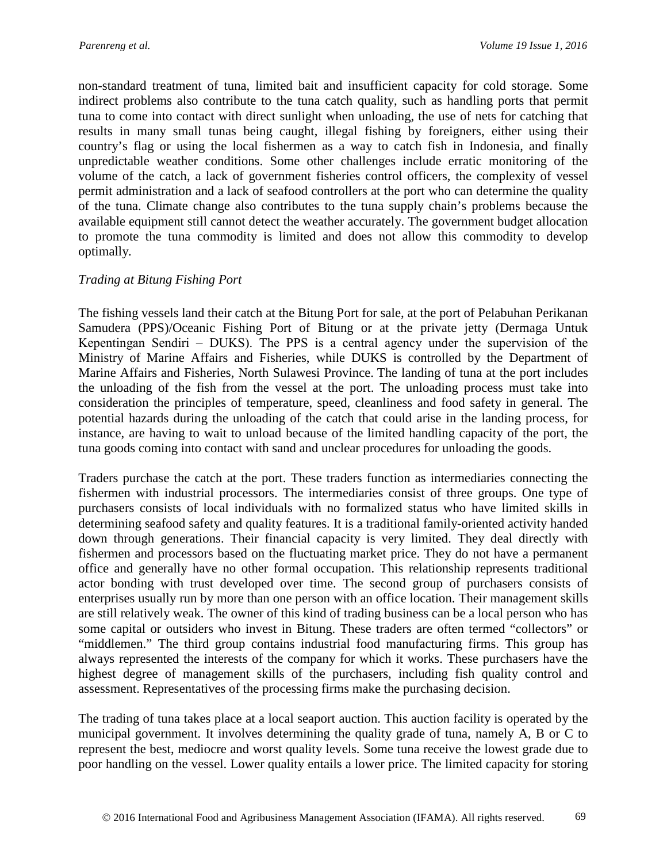non-standard treatment of tuna, limited bait and insufficient capacity for cold storage. Some indirect problems also contribute to the tuna catch quality, such as handling ports that permit tuna to come into contact with direct sunlight when unloading, the use of nets for catching that results in many small tunas being caught, illegal fishing by foreigners, either using their country's flag or using the local fishermen as a way to catch fish in Indonesia, and finally unpredictable weather conditions. Some other challenges include erratic monitoring of the volume of the catch, a lack of government fisheries control officers, the complexity of vessel permit administration and a lack of seafood controllers at the port who can determine the quality of the tuna. Climate change also contributes to the tuna supply chain's problems because the available equipment still cannot detect the weather accurately. The government budget allocation to promote the tuna commodity is limited and does not allow this commodity to develop optimally.

#### *Trading at Bitung Fishing Port*

The fishing vessels land their catch at the Bitung Port for sale, at the port of Pelabuhan Perikanan Samudera (PPS)/Oceanic Fishing Port of Bitung or at the private jetty (Dermaga Untuk Kepentingan Sendiri – DUKS). The PPS is a central agency under the supervision of the Ministry of Marine Affairs and Fisheries, while DUKS is controlled by the Department of Marine Affairs and Fisheries, North Sulawesi Province. The landing of tuna at the port includes the unloading of the fish from the vessel at the port. The unloading process must take into consideration the principles of temperature, speed, cleanliness and food safety in general. The potential hazards during the unloading of the catch that could arise in the landing process, for instance, are having to wait to unload because of the limited handling capacity of the port, the tuna goods coming into contact with sand and unclear procedures for unloading the goods.

Traders purchase the catch at the port. These traders function as intermediaries connecting the fishermen with industrial processors. The intermediaries consist of three groups. One type of purchasers consists of local individuals with no formalized status who have limited skills in determining seafood safety and quality features. It is a traditional family-oriented activity handed down through generations. Their financial capacity is very limited. They deal directly with fishermen and processors based on the fluctuating market price. They do not have a permanent office and generally have no other formal occupation. This relationship represents traditional actor bonding with trust developed over time. The second group of purchasers consists of enterprises usually run by more than one person with an office location. Their management skills are still relatively weak. The owner of this kind of trading business can be a local person who has some capital or outsiders who invest in Bitung. These traders are often termed "collectors" or "middlemen." The third group contains industrial food manufacturing firms. This group has always represented the interests of the company for which it works. These purchasers have the highest degree of management skills of the purchasers, including fish quality control and assessment. Representatives of the processing firms make the purchasing decision.

The trading of tuna takes place at a local seaport auction. This auction facility is operated by the municipal government. It involves determining the quality grade of tuna, namely A, B or C to represent the best, mediocre and worst quality levels. Some tuna receive the lowest grade due to poor handling on the vessel. Lower quality entails a lower price. The limited capacity for storing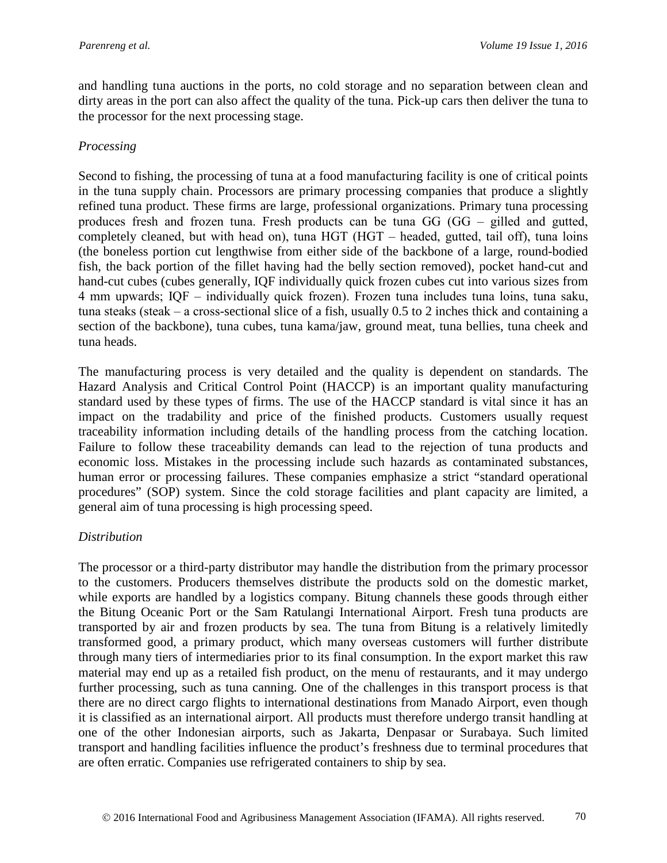and handling tuna auctions in the ports, no cold storage and no separation between clean and dirty areas in the port can also affect the quality of the tuna. Pick-up cars then deliver the tuna to the processor for the next processing stage.

#### *Processing*

Second to fishing, the processing of tuna at a food manufacturing facility is one of critical points in the tuna supply chain. Processors are primary processing companies that produce a slightly refined tuna product. These firms are large, professional organizations. Primary tuna processing produces fresh and frozen tuna. Fresh products can be tuna  $GG$  ( $GG$  – gilled and gutted, completely cleaned, but with head on), tuna HGT (HGT – headed, gutted, tail off), tuna loins (the boneless portion cut lengthwise from either side of the backbone of a large, round-bodied fish, the back portion of the fillet having had the belly section removed), pocket hand-cut and hand-cut cubes (cubes generally, IQF individually quick frozen cubes cut into various sizes from  $4 \text{ mm}$  upwards; IQF – individually quick frozen). Frozen tuna includes tuna loins, tuna saku, tuna steaks (steak  $-$  a cross-sectional slice of a fish, usually 0.5 to 2 inches thick and containing a section of the backbone), tuna cubes, tuna kama/jaw, ground meat, tuna bellies, tuna cheek and tuna heads.

The manufacturing process is very detailed and the quality is dependent on standards. The Hazard Analysis and Critical Control Point (HACCP) is an important quality manufacturing standard used by these types of firms. The use of the HACCP standard is vital since it has an impact on the tradability and price of the finished products. Customers usually request traceability information including details of the handling process from the catching location. Failure to follow these traceability demands can lead to the rejection of tuna products and economic loss. Mistakes in the processing include such hazards as contaminated substances, human error or processing failures. These companies emphasize a strict "standard operational procedures" (SOP) system. Since the cold storage facilities and plant capacity are limited, a general aim of tuna processing is high processing speed.

### *Distribution*

The processor or a third-party distributor may handle the distribution from the primary processor to the customers. Producers themselves distribute the products sold on the domestic market, while exports are handled by a logistics company. Bitung channels these goods through either the Bitung Oceanic Port or the Sam Ratulangi International Airport. Fresh tuna products are transported by air and frozen products by sea. The tuna from Bitung is a relatively limitedly transformed good, a primary product, which many overseas customers will further distribute through many tiers of intermediaries prior to its final consumption. In the export market this raw material may end up as a retailed fish product, on the menu of restaurants, and it may undergo further processing, such as tuna canning. One of the challenges in this transport process is that there are no direct cargo flights to international destinations from Manado Airport, even though it is classified as an international airport. All products must therefore undergo transit handling at one of the other Indonesian airports, such as Jakarta, Denpasar or Surabaya. Such limited transport and handling facilities influence the product's freshness due to terminal procedures that are often erratic. Companies use refrigerated containers to ship by sea.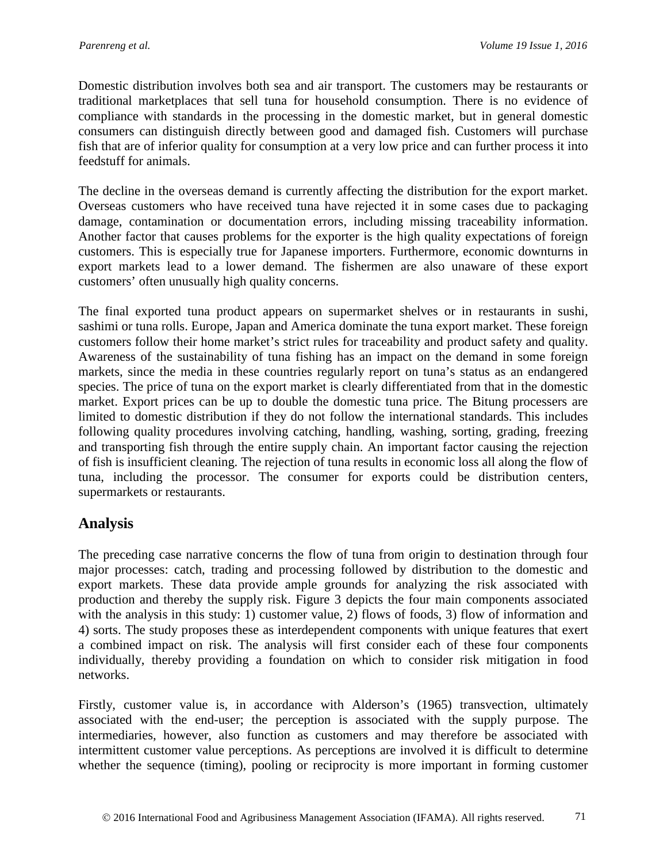Domestic distribution involves both sea and air transport. The customers may be restaurants or traditional marketplaces that sell tuna for household consumption. There is no evidence of compliance with standards in the processing in the domestic market, but in general domestic consumers can distinguish directly between good and damaged fish. Customers will purchase fish that are of inferior quality for consumption at a very low price and can further process it into feedstuff for animals.

The decline in the overseas demand is currently affecting the distribution for the export market. Overseas customers who have received tuna have rejected it in some cases due to packaging damage, contamination or documentation errors, including missing traceability information. Another factor that causes problems for the exporter is the high quality expectations of foreign customers. This is especially true for Japanese importers. Furthermore, economic downturns in export markets lead to a lower demand. The fishermen are also unaware of these export customers' often unusually high quality concerns.

The final exported tuna product appears on supermarket shelves or in restaurants in sushi, sashimi or tuna rolls. Europe, Japan and America dominate the tuna export market. These foreign customers follow their home market's strict rules for traceability and product safety and quality. Awareness of the sustainability of tuna fishing has an impact on the demand in some foreign markets, since the media in these countries regularly report on tuna's status as an endangered species. The price of tuna on the export market is clearly differentiated from that in the domestic market. Export prices can be up to double the domestic tuna price. The Bitung processers are limited to domestic distribution if they do not follow the international standards. This includes following quality procedures involving catching, handling, washing, sorting, grading, freezing and transporting fish through the entire supply chain. An important factor causing the rejection of fish is insufficient cleaning. The rejection of tuna results in economic loss all along the flow of tuna, including the processor. The consumer for exports could be distribution centers, supermarkets or restaurants.

## **Analysis**

The preceding case narrative concerns the flow of tuna from origin to destination through four major processes: catch, trading and processing followed by distribution to the domestic and export markets. These data provide ample grounds for analyzing the risk associated with production and thereby the supply risk. Figure 3 depicts the four main components associated with the analysis in this study: 1) customer value, 2) flows of foods, 3) flow of information and 4) sorts. The study proposes these as interdependent components with unique features that exert a combined impact on risk. The analysis will first consider each of these four components individually, thereby providing a foundation on which to consider risk mitigation in food networks.

Firstly, customer value is, in accordance with Alderson's (1965) transvection, ultimately associated with the end-user; the perception is associated with the supply purpose. The intermediaries, however, also function as customers and may therefore be associated with intermittent customer value perceptions. As perceptions are involved it is difficult to determine whether the sequence (timing), pooling or reciprocity is more important in forming customer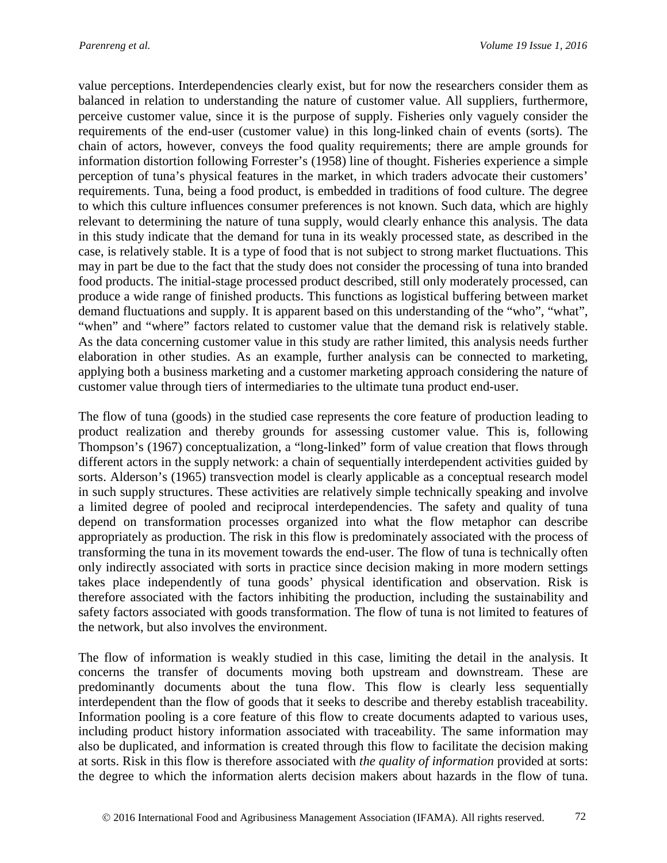value perceptions. Interdependencies clearly exist, but for now the researchers consider them as balanced in relation to understanding the nature of customer value. All suppliers, furthermore, perceive customer value, since it is the purpose of supply. Fisheries only vaguely consider the requirements of the end-user (customer value) in this long-linked chain of events (sorts). The chain of actors, however, conveys the food quality requirements; there are ample grounds for information distortion following Forrester's (1958) line of thought. Fisheries experience a simple perception of tuna's physical features in the market, in which traders advocate their customers' requirements. Tuna, being a food product, is embedded in traditions of food culture. The degree to which this culture influences consumer preferences is not known. Such data, which are highly relevant to determining the nature of tuna supply, would clearly enhance this analysis. The data in this study indicate that the demand for tuna in its weakly processed state, as described in the case, is relatively stable. It is a type of food that is not subject to strong market fluctuations. This may in part be due to the fact that the study does not consider the processing of tuna into branded food products. The initial-stage processed product described, still only moderately processed, can produce a wide range of finished products. This functions as logistical buffering between market demand fluctuations and supply. It is apparent based on this understanding of the "who", "what", "when" and "where" factors related to customer value that the demand risk is relatively stable. As the data concerning customer value in this study are rather limited, this analysis needs further elaboration in other studies. As an example, further analysis can be connected to marketing, applying both a business marketing and a customer marketing approach considering the nature of customer value through tiers of intermediaries to the ultimate tuna product end-user.

The flow of tuna (goods) in the studied case represents the core feature of production leading to product realization and thereby grounds for assessing customer value. This is, following Thompson's (1967) conceptualization, a "long-linked" form of value creation that flows through different actors in the supply network: a chain of sequentially interdependent activities guided by sorts. Alderson's (1965) transvection model is clearly applicable as a conceptual research model in such supply structures. These activities are relatively simple technically speaking and involve a limited degree of pooled and reciprocal interdependencies. The safety and quality of tuna depend on transformation processes organized into what the flow metaphor can describe appropriately as production. The risk in this flow is predominately associated with the process of transforming the tuna in its movement towards the end-user. The flow of tuna is technically often only indirectly associated with sorts in practice since decision making in more modern settings takes place independently of tuna goods' physical identification and observation. Risk is therefore associated with the factors inhibiting the production, including the sustainability and safety factors associated with goods transformation. The flow of tuna is not limited to features of the network, but also involves the environment.

The flow of information is weakly studied in this case, limiting the detail in the analysis. It concerns the transfer of documents moving both upstream and downstream. These are predominantly documents about the tuna flow. This flow is clearly less sequentially interdependent than the flow of goods that it seeks to describe and thereby establish traceability. Information pooling is a core feature of this flow to create documents adapted to various uses, including product history information associated with traceability. The same information may also be duplicated, and information is created through this flow to facilitate the decision making at sorts. Risk in this flow is therefore associated with *the quality of information* provided at sorts: the degree to which the information alerts decision makers about hazards in the flow of tuna.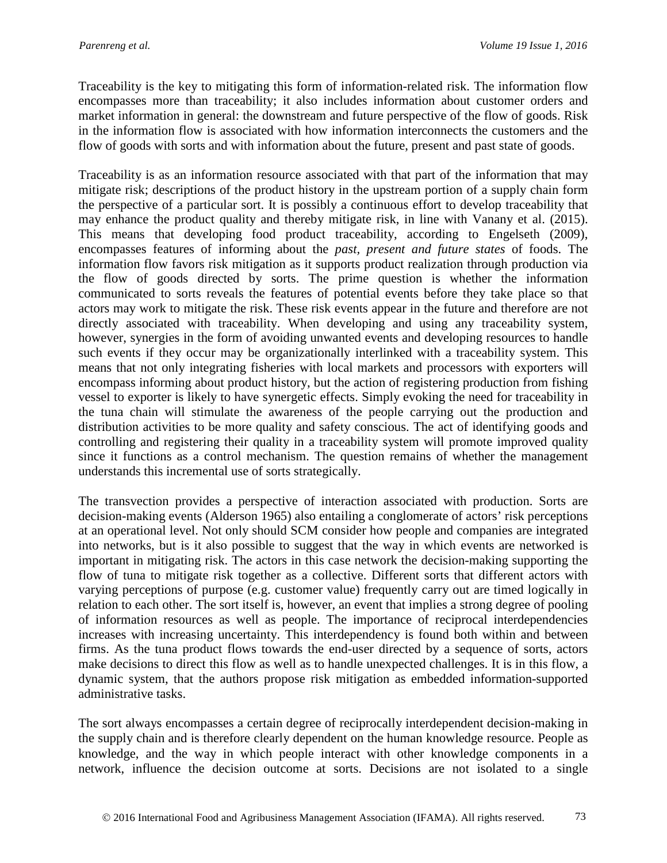Traceability is the key to mitigating this form of information-related risk. The information flow encompasses more than traceability; it also includes information about customer orders and market information in general: the downstream and future perspective of the flow of goods. Risk in the information flow is associated with how information interconnects the customers and the flow of goods with sorts and with information about the future, present and past state of goods.

Traceability is as an information resource associated with that part of the information that may mitigate risk; descriptions of the product history in the upstream portion of a supply chain form the perspective of a particular sort. It is possibly a continuous effort to develop traceability that may enhance the product quality and thereby mitigate risk, in line with Vanany et al. (2015). This means that developing food product traceability, according to Engelseth (2009), encompasses features of informing about the *past, present and future states* of foods. The information flow favors risk mitigation as it supports product realization through production via the flow of goods directed by sorts. The prime question is whether the information communicated to sorts reveals the features of potential events before they take place so that actors may work to mitigate the risk. These risk events appear in the future and therefore are not directly associated with traceability. When developing and using any traceability system, however, synergies in the form of avoiding unwanted events and developing resources to handle such events if they occur may be organizationally interlinked with a traceability system. This means that not only integrating fisheries with local markets and processors with exporters will encompass informing about product history, but the action of registering production from fishing vessel to exporter is likely to have synergetic effects. Simply evoking the need for traceability in the tuna chain will stimulate the awareness of the people carrying out the production and distribution activities to be more quality and safety conscious. The act of identifying goods and controlling and registering their quality in a traceability system will promote improved quality since it functions as a control mechanism. The question remains of whether the management understands this incremental use of sorts strategically.

The transvection provides a perspective of interaction associated with production. Sorts are decision-making events (Alderson 1965) also entailing a conglomerate of actors' risk perceptions at an operational level. Not only should SCM consider how people and companies are integrated into networks, but is it also possible to suggest that the way in which events are networked is important in mitigating risk. The actors in this case network the decision-making supporting the flow of tuna to mitigate risk together as a collective. Different sorts that different actors with varying perceptions of purpose (e.g. customer value) frequently carry out are timed logically in relation to each other. The sort itself is, however, an event that implies a strong degree of pooling of information resources as well as people. The importance of reciprocal interdependencies increases with increasing uncertainty. This interdependency is found both within and between firms. As the tuna product flows towards the end-user directed by a sequence of sorts, actors make decisions to direct this flow as well as to handle unexpected challenges. It is in this flow, a dynamic system, that the authors propose risk mitigation as embedded information-supported administrative tasks.

The sort always encompasses a certain degree of reciprocally interdependent decision-making in the supply chain and is therefore clearly dependent on the human knowledge resource. People as knowledge, and the way in which people interact with other knowledge components in a network, influence the decision outcome at sorts. Decisions are not isolated to a single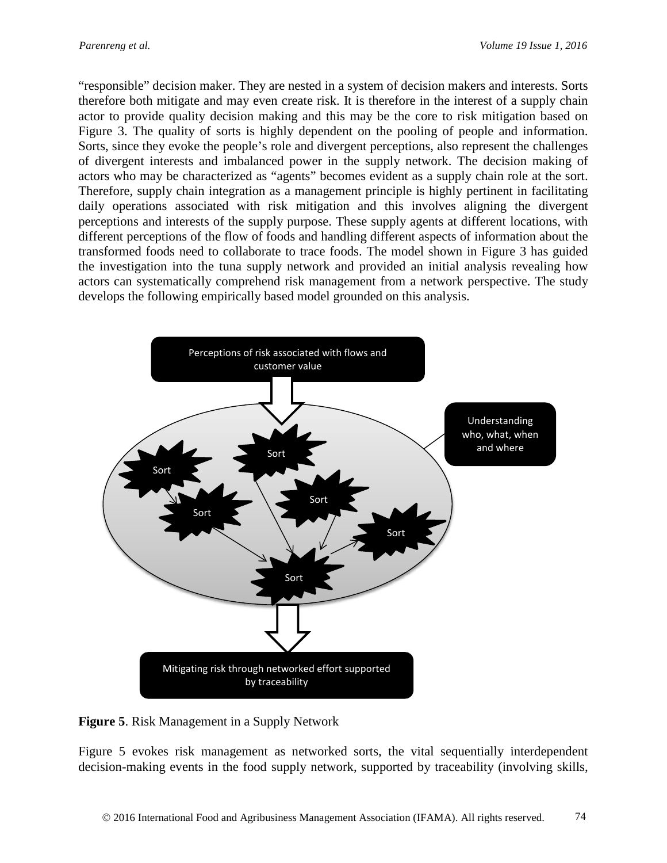"responsible" decision maker. They are nested in a system of decision makers and interests. Sorts therefore both mitigate and may even create risk. It is therefore in the interest of a supply chain actor to provide quality decision making and this may be the core to risk mitigation based on Figure 3. The quality of sorts is highly dependent on the pooling of people and information. Sorts, since they evoke the people's role and divergent perceptions, also represent the challenges of divergent interests and imbalanced power in the supply network. The decision making of actors who may be characterized as "agents" becomes evident as a supply chain role at the sort. Therefore, supply chain integration as a management principle is highly pertinent in facilitating daily operations associated with risk mitigation and this involves aligning the divergent perceptions and interests of the supply purpose. These supply agents at different locations, with different perceptions of the flow of foods and handling different aspects of information about the transformed foods need to collaborate to trace foods. The model shown in Figure 3 has guided the investigation into the tuna supply network and provided an initial analysis revealing how actors can systematically comprehend risk management from a network perspective. The study develops the following empirically based model grounded on this analysis.



**Figure 5**. Risk Management in a Supply Network

Figure 5 evokes risk management as networked sorts, the vital sequentially interdependent decision-making events in the food supply network, supported by traceability (involving skills,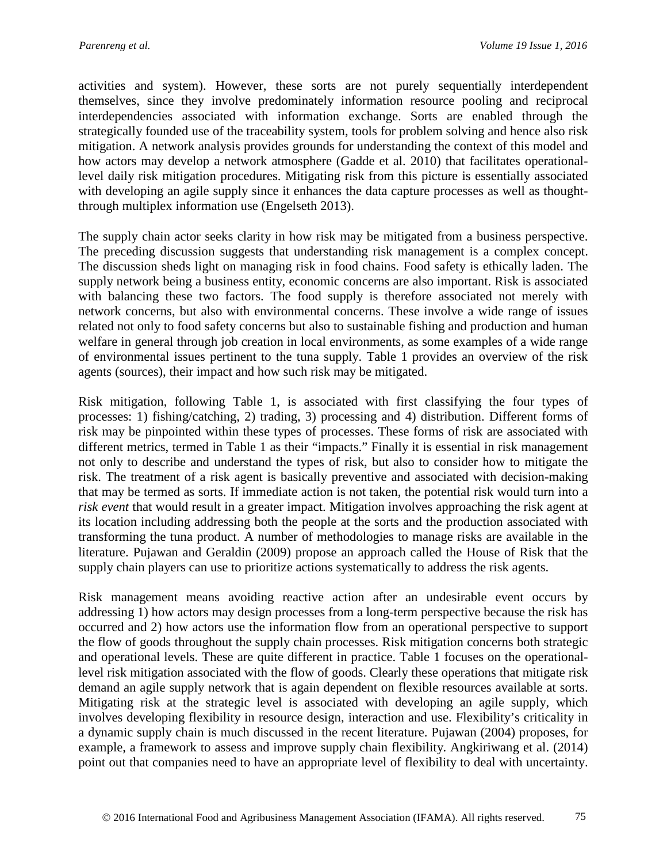activities and system). However, these sorts are not purely sequentially interdependent themselves, since they involve predominately information resource pooling and reciprocal interdependencies associated with information exchange. Sorts are enabled through the strategically founded use of the traceability system, tools for problem solving and hence also risk mitigation. A network analysis provides grounds for understanding the context of this model and how actors may develop a network atmosphere (Gadde et al. 2010) that facilitates operationallevel daily risk mitigation procedures. Mitigating risk from this picture is essentially associated with developing an agile supply since it enhances the data capture processes as well as thoughtthrough multiplex information use (Engelseth 2013).

The supply chain actor seeks clarity in how risk may be mitigated from a business perspective. The preceding discussion suggests that understanding risk management is a complex concept. The discussion sheds light on managing risk in food chains. Food safety is ethically laden. The supply network being a business entity, economic concerns are also important. Risk is associated with balancing these two factors. The food supply is therefore associated not merely with network concerns, but also with environmental concerns. These involve a wide range of issues related not only to food safety concerns but also to sustainable fishing and production and human welfare in general through job creation in local environments, as some examples of a wide range of environmental issues pertinent to the tuna supply. Table 1 provides an overview of the risk agents (sources), their impact and how such risk may be mitigated.

Risk mitigation, following Table 1, is associated with first classifying the four types of processes: 1) fishing/catching, 2) trading, 3) processing and 4) distribution. Different forms of risk may be pinpointed within these types of processes. These forms of risk are associated with different metrics, termed in Table 1 as their "impacts." Finally it is essential in risk management not only to describe and understand the types of risk, but also to consider how to mitigate the risk. The treatment of a risk agent is basically preventive and associated with decision-making that may be termed as sorts. If immediate action is not taken, the potential risk would turn into a *risk event* that would result in a greater impact. Mitigation involves approaching the risk agent at its location including addressing both the people at the sorts and the production associated with transforming the tuna product. A number of methodologies to manage risks are available in the literature. Pujawan and Geraldin (2009) propose an approach called the House of Risk that the supply chain players can use to prioritize actions systematically to address the risk agents.

Risk management means avoiding reactive action after an undesirable event occurs by addressing 1) how actors may design processes from a long-term perspective because the risk has occurred and 2) how actors use the information flow from an operational perspective to support the flow of goods throughout the supply chain processes. Risk mitigation concerns both strategic and operational levels. These are quite different in practice. Table 1 focuses on the operationallevel risk mitigation associated with the flow of goods. Clearly these operations that mitigate risk demand an agile supply network that is again dependent on flexible resources available at sorts. Mitigating risk at the strategic level is associated with developing an agile supply, which involves developing flexibility in resource design, interaction and use. Flexibility's criticality in a dynamic supply chain is much discussed in the recent literature. Pujawan (2004) proposes, for example, a framework to assess and improve supply chain flexibility. Angkiriwang et al. (2014) point out that companies need to have an appropriate level of flexibility to deal with uncertainty.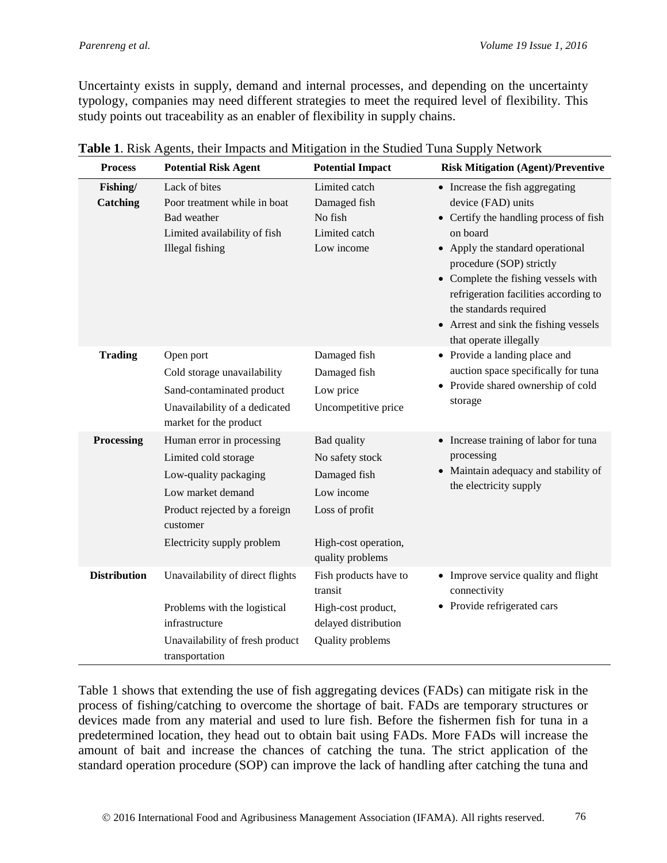Uncertainty exists in supply, demand and internal processes, and depending on the uncertainty typology, companies may need different strategies to meet the required level of flexibility. This study points out traceability as an enabler of flexibility in supply chains.

| <b>Process</b>       | <b>Potential Risk Agent</b>                                                                                                                                                | <b>Potential Impact</b>                                                                                                    | <b>Risk Mitigation (Agent)/Preventive</b><br>• Increase the fish aggregating<br>device (FAD) units<br>• Certify the handling process of fish<br>on board<br>• Apply the standard operational<br>procedure (SOP) strictly<br>• Complete the fishing vessels with<br>refrigeration facilities according to<br>the standards required<br>• Arrest and sink the fishing vessels<br>that operate illegally |  |
|----------------------|----------------------------------------------------------------------------------------------------------------------------------------------------------------------------|----------------------------------------------------------------------------------------------------------------------------|-------------------------------------------------------------------------------------------------------------------------------------------------------------------------------------------------------------------------------------------------------------------------------------------------------------------------------------------------------------------------------------------------------|--|
| Fishing/<br>Catching | Lack of bites<br>Poor treatment while in boat<br>Bad weather<br>Limited availability of fish<br><b>Illegal</b> fishing                                                     | Limited catch<br>Damaged fish<br>No fish<br>Limited catch<br>Low income                                                    |                                                                                                                                                                                                                                                                                                                                                                                                       |  |
| <b>Trading</b>       | Open port<br>Cold storage unavailability<br>Sand-contaminated product<br>Unavailability of a dedicated<br>market for the product                                           | Damaged fish<br>Damaged fish<br>Low price<br>Uncompetitive price                                                           | • Provide a landing place and<br>auction space specifically for tuna<br>• Provide shared ownership of cold<br>storage                                                                                                                                                                                                                                                                                 |  |
| Processing           | Human error in processing<br>Limited cold storage<br>Low-quality packaging<br>Low market demand<br>Product rejected by a foreign<br>customer<br>Electricity supply problem | Bad quality<br>No safety stock<br>Damaged fish<br>Low income<br>Loss of profit<br>High-cost operation,<br>quality problems | • Increase training of labor for tuna<br>processing<br>• Maintain adequacy and stability of<br>the electricity supply                                                                                                                                                                                                                                                                                 |  |
| <b>Distribution</b>  | Unavailability of direct flights<br>Problems with the logistical<br>infrastructure<br>Unavailability of fresh product<br>transportation                                    | Fish products have to<br>transit<br>High-cost product,<br>delayed distribution<br>Quality problems                         | • Improve service quality and flight<br>connectivity<br>• Provide refrigerated cars                                                                                                                                                                                                                                                                                                                   |  |

|  |  |  |  |  | Table 1. Risk Agents, their Impacts and Mitigation in the Studied Tuna Supply Network |
|--|--|--|--|--|---------------------------------------------------------------------------------------|
|--|--|--|--|--|---------------------------------------------------------------------------------------|

Table 1 shows that extending the use of fish aggregating devices (FADs) can mitigate risk in the process of fishing/catching to overcome the shortage of bait. FADs are temporary structures or devices made from any material and used to lure fish. Before the fishermen fish for tuna in a predetermined location, they head out to obtain bait using FADs. More FADs will increase the amount of bait and increase the chances of catching the tuna. The strict application of the standard operation procedure (SOP) can improve the lack of handling after catching the tuna and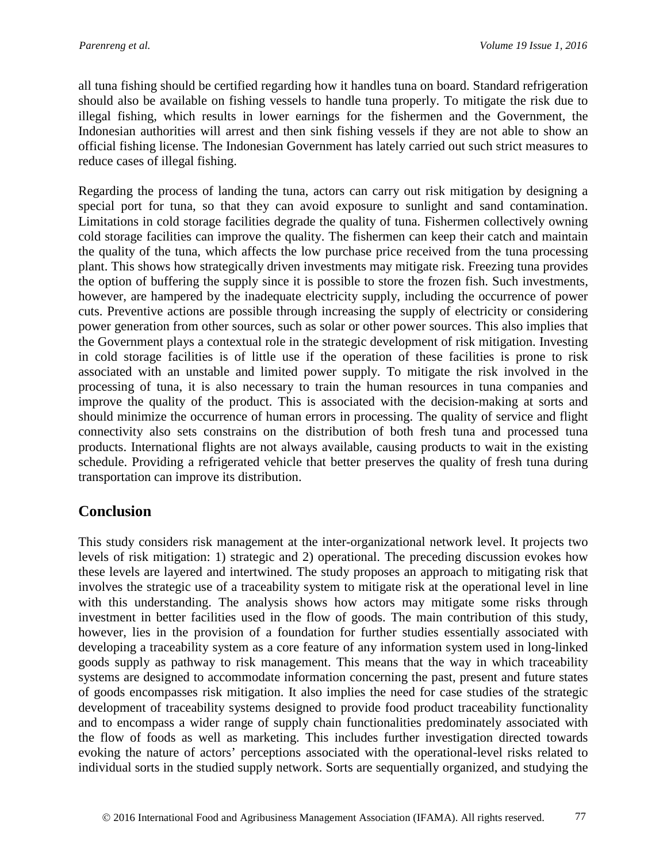all tuna fishing should be certified regarding how it handles tuna on board. Standard refrigeration should also be available on fishing vessels to handle tuna properly. To mitigate the risk due to illegal fishing, which results in lower earnings for the fishermen and the Government, the Indonesian authorities will arrest and then sink fishing vessels if they are not able to show an official fishing license. The Indonesian Government has lately carried out such strict measures to reduce cases of illegal fishing.

Regarding the process of landing the tuna, actors can carry out risk mitigation by designing a special port for tuna, so that they can avoid exposure to sunlight and sand contamination. Limitations in cold storage facilities degrade the quality of tuna. Fishermen collectively owning cold storage facilities can improve the quality. The fishermen can keep their catch and maintain the quality of the tuna, which affects the low purchase price received from the tuna processing plant. This shows how strategically driven investments may mitigate risk. Freezing tuna provides the option of buffering the supply since it is possible to store the frozen fish. Such investments, however, are hampered by the inadequate electricity supply, including the occurrence of power cuts. Preventive actions are possible through increasing the supply of electricity or considering power generation from other sources, such as solar or other power sources. This also implies that the Government plays a contextual role in the strategic development of risk mitigation. Investing in cold storage facilities is of little use if the operation of these facilities is prone to risk associated with an unstable and limited power supply. To mitigate the risk involved in the processing of tuna, it is also necessary to train the human resources in tuna companies and improve the quality of the product. This is associated with the decision-making at sorts and should minimize the occurrence of human errors in processing. The quality of service and flight connectivity also sets constrains on the distribution of both fresh tuna and processed tuna products. International flights are not always available, causing products to wait in the existing schedule. Providing a refrigerated vehicle that better preserves the quality of fresh tuna during transportation can improve its distribution.

# **Conclusion**

This study considers risk management at the inter-organizational network level. It projects two levels of risk mitigation: 1) strategic and 2) operational. The preceding discussion evokes how these levels are layered and intertwined. The study proposes an approach to mitigating risk that involves the strategic use of a traceability system to mitigate risk at the operational level in line with this understanding. The analysis shows how actors may mitigate some risks through investment in better facilities used in the flow of goods. The main contribution of this study, however, lies in the provision of a foundation for further studies essentially associated with developing a traceability system as a core feature of any information system used in long-linked goods supply as pathway to risk management. This means that the way in which traceability systems are designed to accommodate information concerning the past, present and future states of goods encompasses risk mitigation. It also implies the need for case studies of the strategic development of traceability systems designed to provide food product traceability functionality and to encompass a wider range of supply chain functionalities predominately associated with the flow of foods as well as marketing. This includes further investigation directed towards evoking the nature of actors' perceptions associated with the operational-level risks related to individual sorts in the studied supply network. Sorts are sequentially organized, and studying the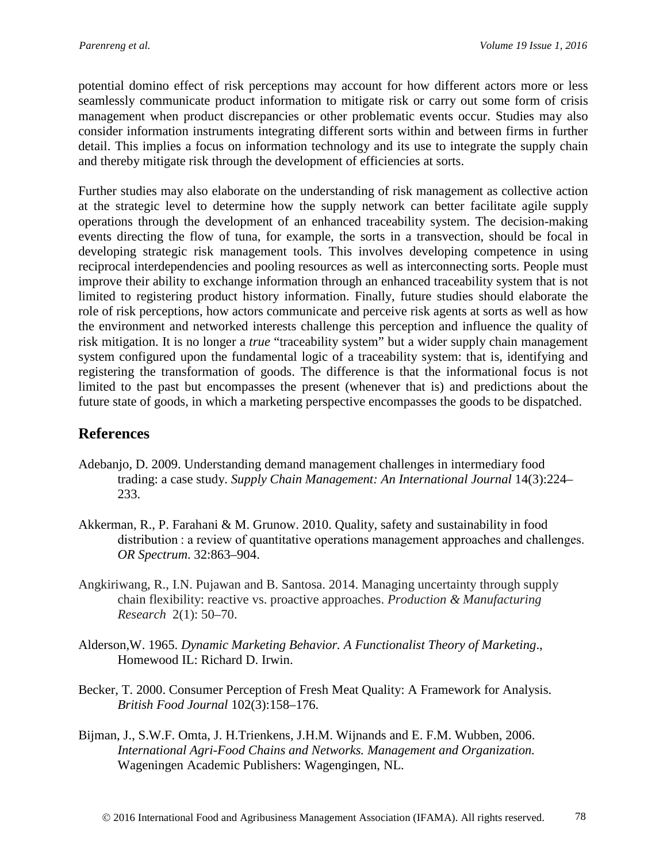potential domino effect of risk perceptions may account for how different actors more or less seamlessly communicate product information to mitigate risk or carry out some form of crisis management when product discrepancies or other problematic events occur. Studies may also consider information instruments integrating different sorts within and between firms in further detail. This implies a focus on information technology and its use to integrate the supply chain and thereby mitigate risk through the development of efficiencies at sorts.

Further studies may also elaborate on the understanding of risk management as collective action at the strategic level to determine how the supply network can better facilitate agile supply operations through the development of an enhanced traceability system. The decision-making events directing the flow of tuna, for example, the sorts in a transvection, should be focal in developing strategic risk management tools. This involves developing competence in using reciprocal interdependencies and pooling resources as well as interconnecting sorts. People must improve their ability to exchange information through an enhanced traceability system that is not limited to registering product history information. Finally, future studies should elaborate the role of risk perceptions, how actors communicate and perceive risk agents at sorts as well as how the environment and networked interests challenge this perception and influence the quality of risk mitigation. It is no longer a *true* "traceability system" but a wider supply chain management system configured upon the fundamental logic of a traceability system: that is, identifying and registering the transformation of goods. The difference is that the informational focus is not limited to the past but encompasses the present (whenever that is) and predictions about the future state of goods, in which a marketing perspective encompasses the goods to be dispatched.

## **References**

- Adebanjo, D. 2009. Understanding demand management challenges in intermediary food trading: a case study. *Supply Chain Management: An International Journal* 14(3):224– 233.
- Akkerman, R., P. Farahani & M. Grunow. 2010. Quality, safety and sustainability in food distribution : a review of quantitative operations management approaches and challenges. *OR Spectrum*. 32:863–904.
- Angkiriwang, R., I.N. Pujawan and B. Santosa. 2014. Managing uncertainty through supply chain flexibility: reactive vs. proactive approaches. *Production & Manufacturing Research* 2(1): 50–70.
- Alderson,W. 1965. *Dynamic Marketing Behavior. A Functionalist Theory of Marketing*., Homewood IL: Richard D. Irwin.
- Becker, T. 2000. Consumer Perception of Fresh Meat Quality: A Framework for Analysis. *British Food Journal* 102(3):158–176.
- Bijman, J., S.W.F. Omta, J. H.Trienkens, J.H.M. Wijnands and E. F.M. Wubben, 2006. *International Agri-Food Chains and Networks. Management and Organization.* Wageningen Academic Publishers: Wagengingen, NL.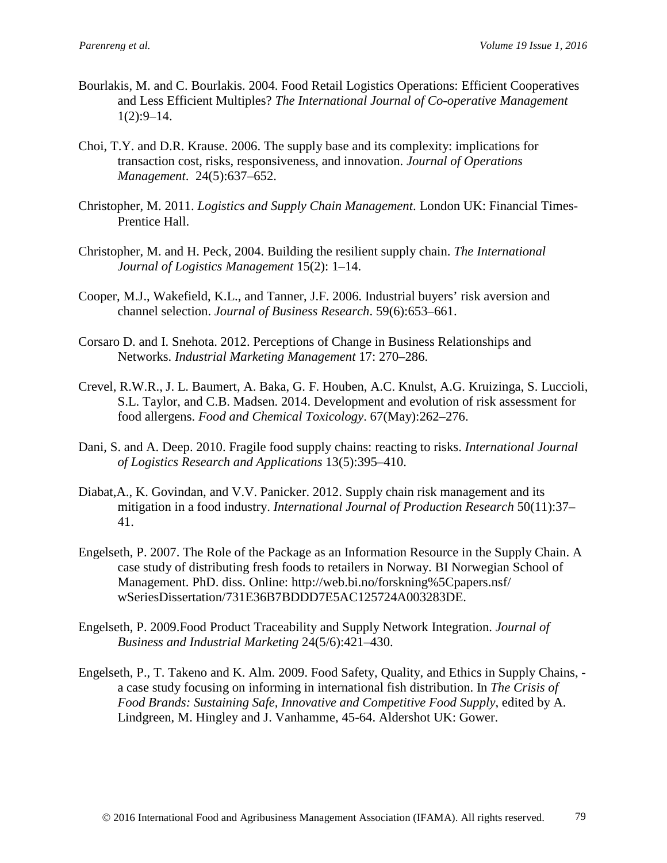- Bourlakis, M. and C. Bourlakis. 2004. Food Retail Logistics Operations: Efficient Cooperatives and Less Efficient Multiples? *The International Journal of Co-operative Management*  $1(2):9-14.$
- Choi, T.Y. and D.R. Krause. 2006. The supply base and its complexity: implications for transaction cost, risks, responsiveness, and innovation. *Journal of Operations Management*. 24(5):637–652.
- Christopher, M. 2011. *Logistics and Supply Chain Management*. London UK: Financial Times-Prentice Hall.
- Christopher, M. and H. Peck, 2004. Building the resilient supply chain. *The International Journal of Logistics Management* 15(2): 1–14.
- Cooper, M.J., Wakefield, K.L., and Tanner, J.F. 2006. Industrial buyers' risk aversion and channel selection. *Journal of Business Research*. 59(6):653–661.
- Corsaro D. and I. Snehota. 2012. Perceptions of Change in Business Relationships and Networks. *Industrial Marketing Management* 17: 270–286.
- Crevel, R.W.R., J. L. Baumert, A. Baka, G. F. Houben, A.C. Knulst, A.G. Kruizinga, S. Luccioli, S.L. Taylor, and C.B. Madsen. 2014. Development and evolution of risk assessment for food allergens. *Food and Chemical Toxicology*. 67(May):262–276.
- Dani, S. and A. Deep. 2010. Fragile food supply chains: reacting to risks. *International Journal of Logistics Research and Applications* 13(5):395–410.
- Diabat,A., K. Govindan, and V.V. Panicker. 2012. Supply chain risk management and its mitigation in a food industry. *International Journal of Production Research* 50(11):37– 41.
- Engelseth, P. 2007. The Role of the Package as an Information Resource in the Supply Chain. A case study of distributing fresh foods to retailers in Norway. BI Norwegian School of Management. PhD. diss. Online: http://web.bi.no/forskning%5Cpapers.nsf/ wSeriesDissertation/731E36B7BDDD7E5AC125724A003283DE.
- Engelseth, P. 2009.Food Product Traceability and Supply Network Integration. *Journal of Business and Industrial Marketing* 24(5/6):421–430.
- Engelseth, P., T. Takeno and K. Alm. 2009. Food Safety, Quality, and Ethics in Supply Chains, a case study focusing on informing in international fish distribution. In *The Crisis of Food Brands: Sustaining Safe, Innovative and Competitive Food Supply*, edited by A. Lindgreen, M. Hingley and J. Vanhamme, 45-64. Aldershot UK: Gower.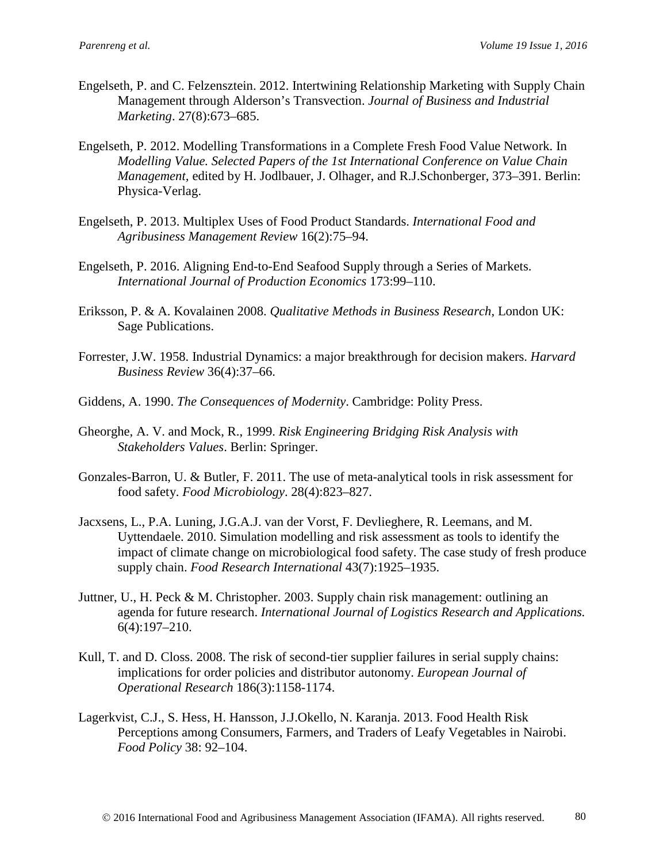- Engelseth, P. and C. Felzensztein. 2012. Intertwining Relationship Marketing with Supply Chain Management through Alderson's Transvection. *Journal of Business and Industrial Marketing*. 27(8):673–685.
- Engelseth, P. 2012. Modelling Transformations in a Complete Fresh Food Value Network. In *Modelling Value. Selected Papers of the 1st International Conference on Value Chain Management,* edited by H. Jodlbauer, J. Olhager, and R.J.Schonberger, 373–391. Berlin: Physica-Verlag.
- Engelseth, P. 2013. Multiplex Uses of Food Product Standards. *International Food and Agribusiness Management Review* 16(2):75–94.
- Engelseth, P. 2016. Aligning End-to-End Seafood Supply through a Series of Markets. *International Journal of Production Economics* 173:99–110.
- Eriksson, P. & A. Kovalainen 2008. *Qualitative Methods in Business Research*, London UK: Sage Publications.
- Forrester, J.W. 1958. Industrial Dynamics: a major breakthrough for decision makers. *Harvard Business Review* 36(4):37–66.
- Giddens, A. 1990. *The Consequences of Modernity*. Cambridge: Polity Press.
- Gheorghe, A. V. and Mock, R., 1999. *Risk Engineering Bridging Risk Analysis with Stakeholders Values*. Berlin: Springer.
- Gonzales-Barron, U. & Butler, F. 2011. The use of meta-analytical tools in risk assessment for food safety. *Food Microbiology*. 28(4):823–827.
- Jacxsens, L., P.A. Luning, J.G.A.J. van der Vorst, F. Devlieghere, R. Leemans, and M. Uyttendaele. 2010. Simulation modelling and risk assessment as tools to identify the impact of climate change on microbiological food safety. The case study of fresh produce supply chain. *Food Research International* 43(7):1925–1935.
- Juttner, U., H. Peck & M. Christopher. 2003. Supply chain risk management: outlining an agenda for future research. *International Journal of Logistics Research and Applications.* 6(4):197–210.
- Kull, T. and D. Closs. 2008. The risk of second-tier supplier failures in serial supply chains: implications for order policies and distributor autonomy. *European Journal of Operational Research* 186(3):1158-1174.
- Lagerkvist, C.J., S. Hess, H. Hansson, J.J.Okello, N. Karanja. 2013. Food Health Risk Perceptions among Consumers, Farmers, and Traders of Leafy Vegetables in Nairobi. *Food Policy* 38: 92–104.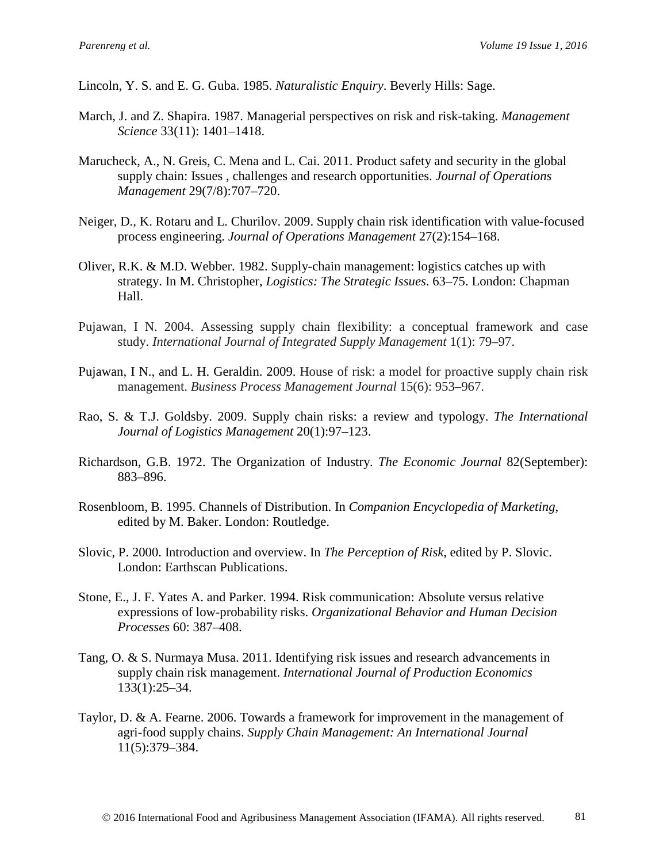Lincoln, Y. S. and E. G. Guba. 1985. *Naturalistic Enquiry*. Beverly Hills: Sage.

- March, J. and Z. Shapira. 1987. Managerial perspectives on risk and risk-taking. *Management Science* 33(11): 1401–1418.
- Marucheck, A., N. Greis, C. Mena and L. Cai. 2011. Product safety and security in the global supply chain: Issues , challenges and research opportunities. *Journal of Operations Management* 29(7/8):707–720.
- Neiger, D., K. Rotaru and L. Churilov. 2009. Supply chain risk identification with value-focused process engineering. *Journal of Operations Management* 27(2):154–168.
- Oliver, R.K. & M.D. Webber. 1982. Supply-chain management: logistics catches up with strategy. In M. Christopher, *Logistics: The Strategic Issues*. 63–75. London: Chapman Hall.
- Pujawan, I N. 2004. Assessing supply chain flexibility: a conceptual framework and case study. *International Journal of Integrated Supply Management* 1(1): 79–97.
- Pujawan, I N., and L. H. Geraldin. 2009. House of risk: a model for proactive supply chain risk management. *Business Process Management Journal* 15(6): 953–967.
- Rao, S. & T.J. Goldsby. 2009. Supply chain risks: a review and typology. *The International Journal of Logistics Management* 20(1):97–123.
- Richardson, G.B. 1972. The Organization of Industry. *The Economic Journal* 82(September): 883–896.
- Rosenbloom, B. 1995. Channels of Distribution. In *Companion Encyclopedia of Marketing*, edited by M. Baker. London: Routledge.
- Slovic, P. 2000. Introduction and overview. In *The Perception of Risk*, edited by P. Slovic. London: Earthscan Publications.
- Stone, E., J. F. Yates A. and Parker. 1994. Risk communication: Absolute versus relative expressions of low-probability risks. *Organizational Behavior and Human Decision Processes* 60: 387–408.
- Tang, O. & S. Nurmaya Musa. 2011. Identifying risk issues and research advancements in supply chain risk management. *International Journal of Production Economics* 133(1):25–34.
- Taylor, D. & A. Fearne. 2006. Towards a framework for improvement in the management of agri-food supply chains. *Supply Chain Management: An International Journal* 11(5):379–384.